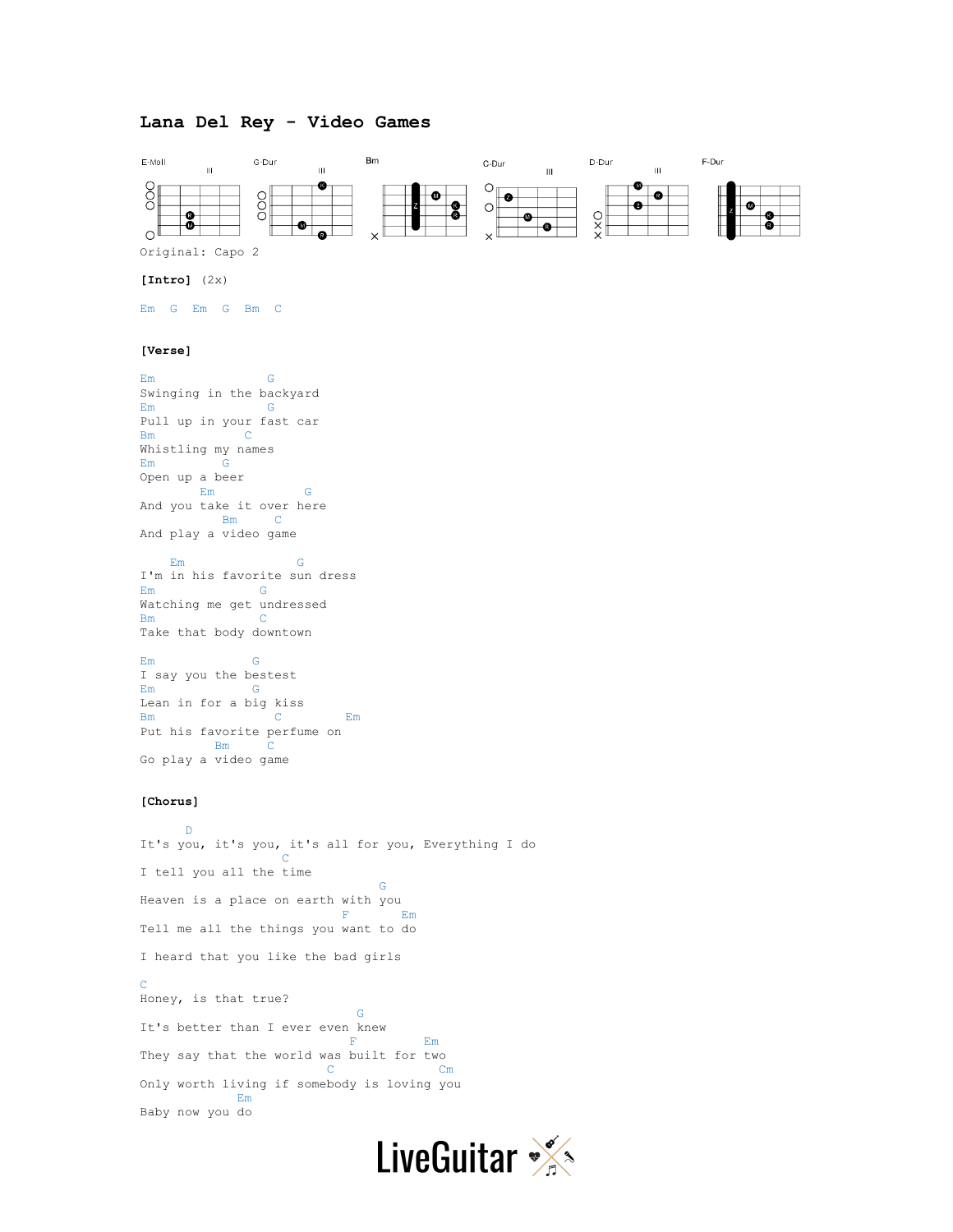# **Lana Del Rey - Video Games**



**[Intro]** (2x)

Em G Em G Bm C

#### **[Verse]**

Em G Swinging in the backyard Em G Pull up in your fast car<br>Bm  $C$  $\mathbf{C}$ Whistling my names Em G Open up a beer Em G And you take it over here **Bm** C And play a video game

 Em G I'm in his favorite sun dress Em G Watching me get undressed Bm C Take that body downtown

Em G I say you the bestest Em G Lean in for a big kiss Bm C Em Put his favorite perfume on **Bm** C Go play a video game

### **[Chorus]**

 D It's you, it's you, it's all for you, Everything I do **Contract Contract Contract Contract Contract Contract Contract Contract Contract Contract Contract C** I tell you all the time General Control of the Control of General Control of the Control of Control of Control of Control of Control of Control of Control of Control of Control of Control of Control of Control of Control of Control of Control of Heaven is a place on earth with you F Em Tell me all the things you want to do I heard that you like the bad girls  $\overline{C}$ Honey, is that true? General Control of the Control of General Control of the Control of the Control of the Control of General Control of the Control of the Control of the Control of the Control of the Control of the Control of the Control of It's better than I ever even knew F Em They say that the world was built for two C<sub>c</sub> Cm Cm Only worth living if somebody is loving you Em Baby now you do

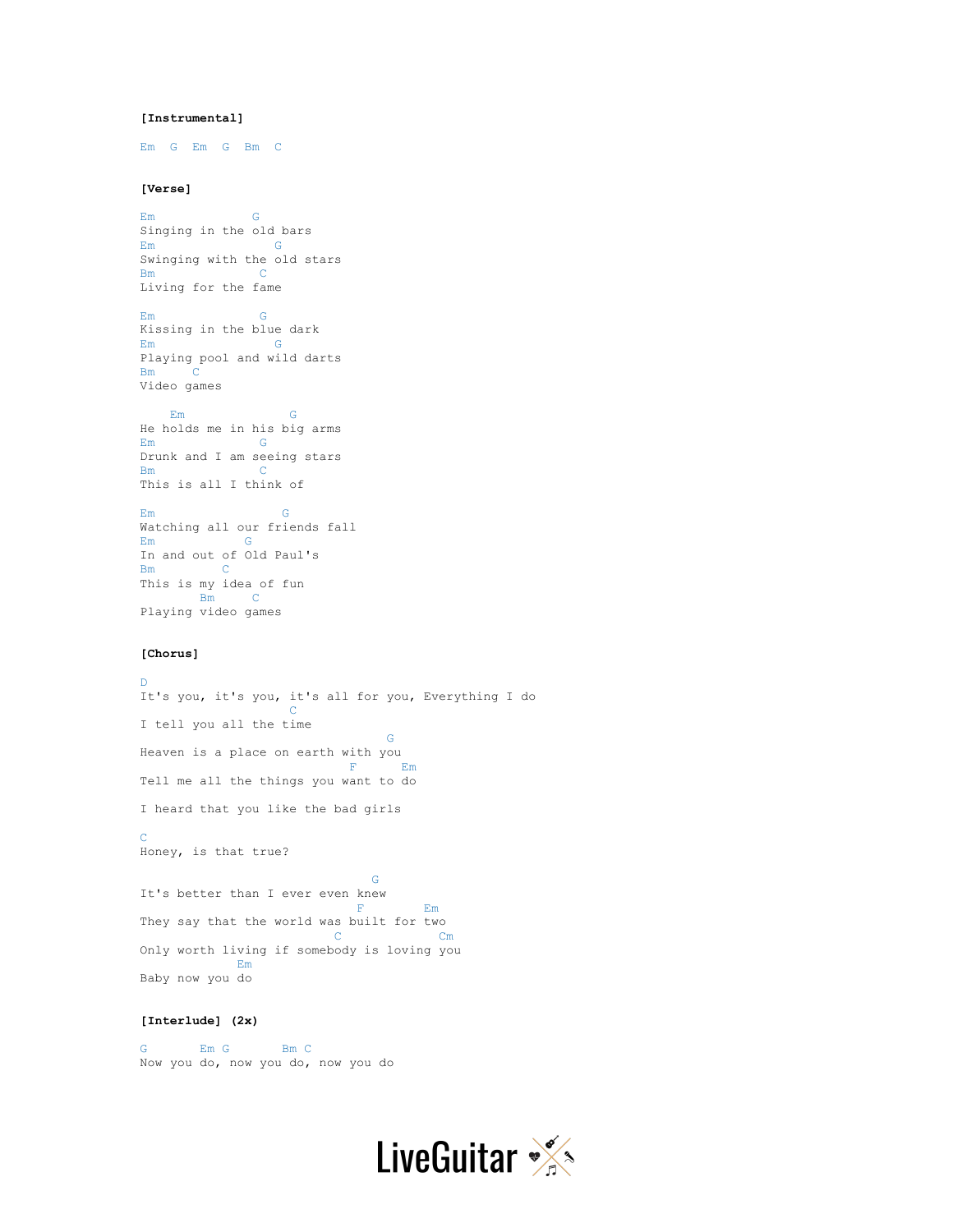#### **[Instrumental]**

Em G Em G Bm C

### **[Verse]**

Em G Singing in the old bars<br> $F_m$ Em G Swinging with the old stars<br> $F_{\text{Rm}}$  $Bm$ Living for the fame Em G Kissing in the blue dark Em G Playing pool and wild darts Bm C Video games Em G He holds me in his big arms<br> $F_m$ Em g Drunk and I am seeing stars Bm C This is all I think of Em G Watching all our friends fall Em G In and out of Old Paul's Bm C This is my idea of fun Bm C Playing video games

# **[Chorus]**

 $D$ It's you, it's you, it's all for you, Everything I do **Contract Contract Contract Contract Contract Contract Contract Contract Contract Contract Contract Contract C** I tell you all the time **G** Heaven is a place on earth with you F Em Tell me all the things you want to do I heard that you like the bad girls  $\overline{C}$ Honey, is that true? General Control of the Control of General Control of the Control of Control of Control of Control of Control o It's better than I ever even knew F Em They say that the world was built for two  $\begin{array}{cc} \mathbb{C} & \mathbb{C} \end{array}$  C Cm Only worth living if somebody is loving you Em Baby now you do

# **[Interlude] (2x)**

G Em G Bm C Now you do, now you do, now you do